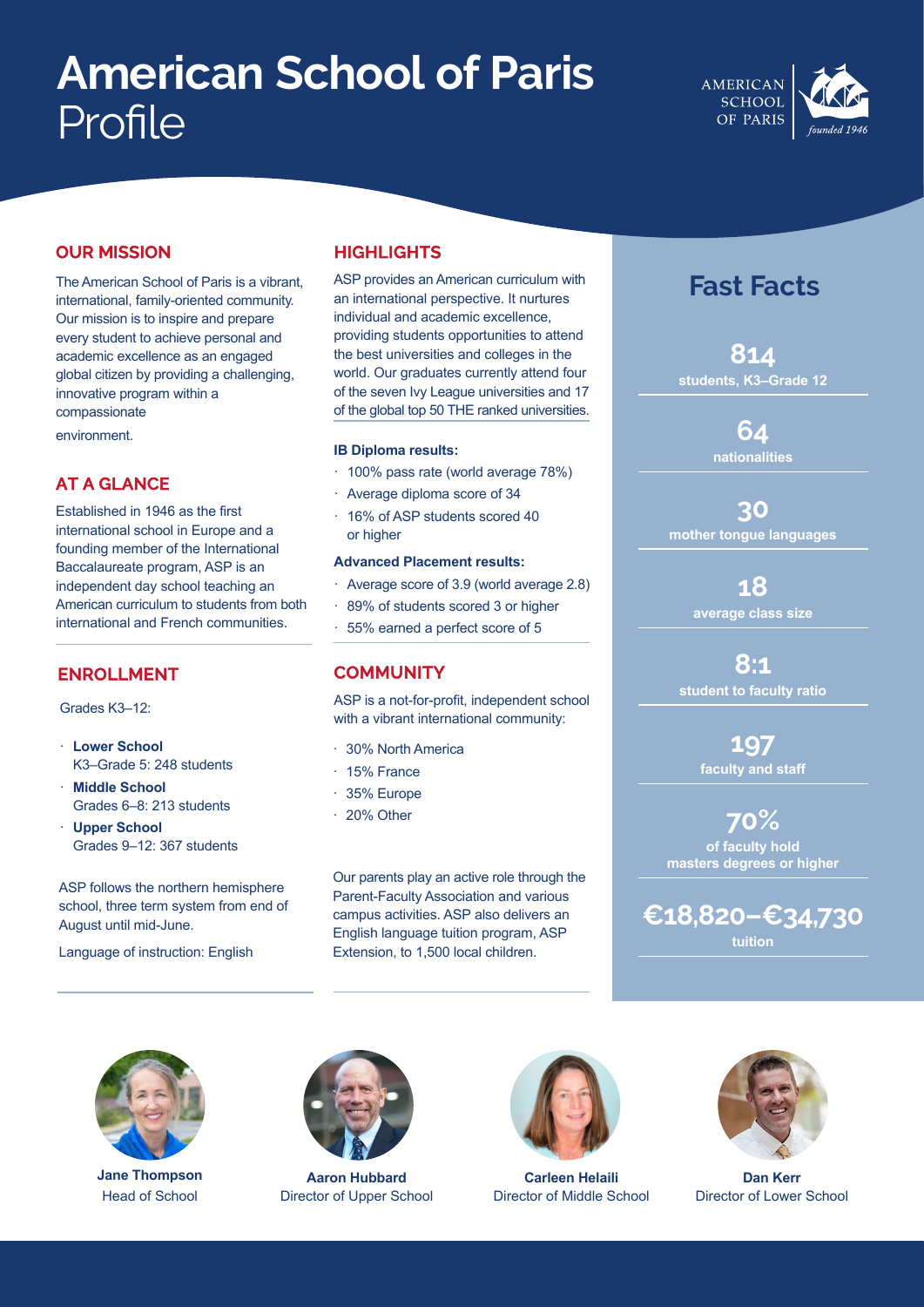# **American School of Paris** Profile



## **OUR MISSION**

The American School of Paris is a vibrant, international, family-oriented community. Our mission is to inspire and prepare every student to achieve personal and academic excellence as an engaged global citizen by providing a challenging, innovative program within a compassionate

environment.

# **AT A GLANCE**

Established in 1946 as the first international school in Europe and a founding member of the International Baccalaureate program, ASP is an independent day school teaching an American curriculum to students from both international and French communities.

#### **ENROLLMENT**

Grades K3–12:

- · **Lower School** K3–Grade 5: 248 students
- **Middle School** Grades 6–8: 213 students
- · **Upper School** Grades 9–12: 367 students

ASP follows the northern hemisphere school, three term system from end of August until mid-June.

Language of instruction: English

# **HIGHLIGHTS**

ASP provides an American curriculum with an international perspective. It nurtures individual and academic excellence, providing students opportunities to attend the best universities and colleges in the world. Our graduates currently attend four of the seven Ivy League universities and 17 of the global top 50 THE ranked universities.

#### **IB Diploma results:**

- · 100% pass rate (world average 78%)
- · Average diploma score of 34
- · 16% of ASP students scored 40 or higher

#### **Advanced Placement results:**

- Average score of 3.9 (world average 2.8)
- 89% of students scored 3 or higher
- 55% earned a perfect score of 5

#### **COMMUNITY**

ASP is a not-for-profit, independent school with a vibrant international community:

- · 30% North America
- · 15% France
- · 35% Europe
- · 20% Other

Our parents play an active role through the Parent-Faculty Association and various campus activities. ASP also delivers an English language tuition program, ASP Extension, to 1,500 local children.

# **Fast Facts**

**814 students, K3–Grade 12**

> **64 nationalities**

**30 mother tongue languages**

> **18 average class size**

**8:1 student to faculty ratio**

> **197 faculty and staff**

**70% of faculty hold masters degrees or higher**

**€18,820–€34,730 tuition**



**Jane Thompson** Head of School



**Aaron Hubbard** Director of Upper School



**Carleen Helaili** Director of Middle School



**Dan Kerr** Director of Lower School